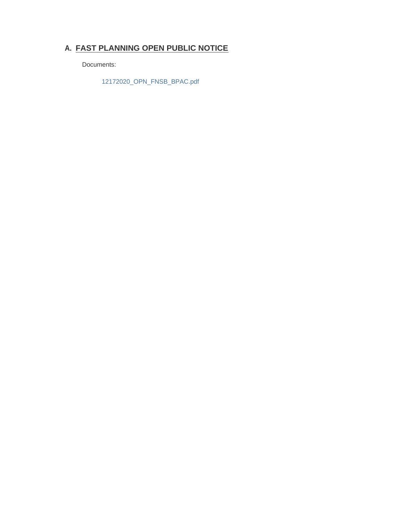## **FAST PLANNING OPEN PUBLIC NOTICE A.**

Documents:

12172020\_OPN\_FNSB\_BPAC.pdf